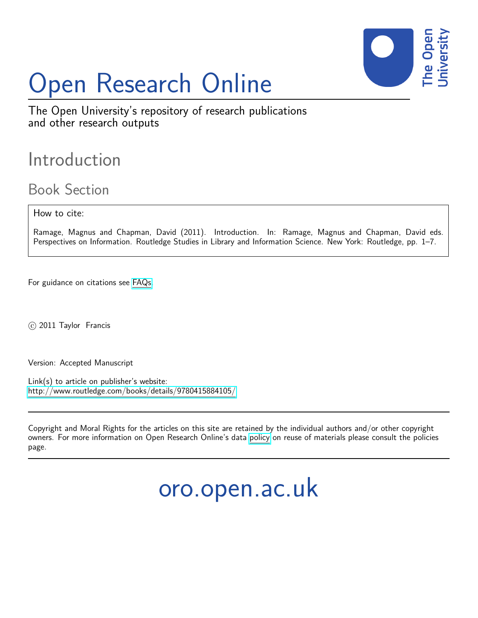

# Open Research Online

The Open University's repository of research publications and other research outputs

Introduction

Book Section

How to cite:

Ramage, Magnus and Chapman, David (2011). Introduction. In: Ramage, Magnus and Chapman, David eds. Perspectives on Information. Routledge Studies in Library and Information Science. New York: Routledge, pp. 1–7.

For guidance on citations see [FAQs.](http://oro.open.ac.uk/help/helpfaq.html)

c 2011 Taylor Francis

Version: Accepted Manuscript

Link(s) to article on publisher's website: <http://www.routledge.com/books/details/9780415884105/>

Copyright and Moral Rights for the articles on this site are retained by the individual authors and/or other copyright owners. For more information on Open Research Online's data [policy](http://oro.open.ac.uk/policies.html) on reuse of materials please consult the policies page.

oro.open.ac.uk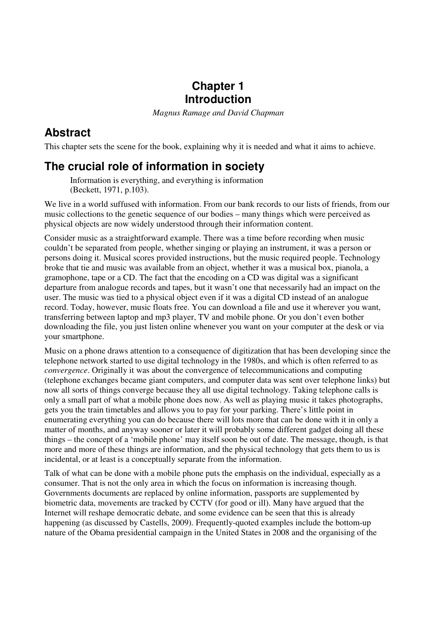#### **Chapter 1 Introduction**

*Magnus Ramage and David Chapman* 

## **Abstract**

This chapter sets the scene for the book, explaining why it is needed and what it aims to achieve.

## **The crucial role of information in society**

Information is everything, and everything is information (Beckett, 1971, p.103).

We live in a world suffused with information. From our bank records to our lists of friends, from our music collections to the genetic sequence of our bodies – many things which were perceived as physical objects are now widely understood through their information content.

Consider music as a straightforward example. There was a time before recording when music couldn't be separated from people, whether singing or playing an instrument, it was a person or persons doing it. Musical scores provided instructions, but the music required people. Technology broke that tie and music was available from an object, whether it was a musical box, pianola, a gramophone, tape or a CD. The fact that the encoding on a CD was digital was a significant departure from analogue records and tapes, but it wasn't one that necessarily had an impact on the user. The music was tied to a physical object even if it was a digital CD instead of an analogue record. Today, however, music floats free. You can download a file and use it wherever you want, transferring between laptop and mp3 player, TV and mobile phone. Or you don't even bother downloading the file, you just listen online whenever you want on your computer at the desk or via your smartphone.

Music on a phone draws attention to a consequence of digitization that has been developing since the telephone network started to use digital technology in the 1980s, and which is often referred to as *convergence*. Originally it was about the convergence of telecommunications and computing (telephone exchanges became giant computers, and computer data was sent over telephone links) but now all sorts of things converge because they all use digital technology. Taking telephone calls is only a small part of what a mobile phone does now. As well as playing music it takes photographs, gets you the train timetables and allows you to pay for your parking. There's little point in enumerating everything you can do because there will lots more that can be done with it in only a matter of months, and anyway sooner or later it will probably some different gadget doing all these things – the concept of a 'mobile phone' may itself soon be out of date. The message, though, is that more and more of these things are information, and the physical technology that gets them to us is incidental, or at least is a conceptually separate from the information.

Talk of what can be done with a mobile phone puts the emphasis on the individual, especially as a consumer. That is not the only area in which the focus on information is increasing though. Governments documents are replaced by online information, passports are supplemented by biometric data, movements are tracked by CCTV (for good or ill). Many have argued that the Internet will reshape democratic debate, and some evidence can be seen that this is already happening (as discussed by Castells, 2009). Frequently-quoted examples include the bottom-up nature of the Obama presidential campaign in the United States in 2008 and the organising of the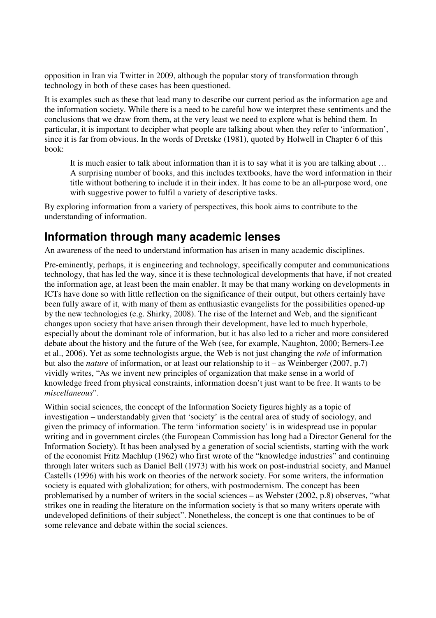opposition in Iran via Twitter in 2009, although the popular story of transformation through technology in both of these cases has been questioned.

It is examples such as these that lead many to describe our current period as the information age and the information society. While there is a need to be careful how we interpret these sentiments and the conclusions that we draw from them, at the very least we need to explore what is behind them. In particular, it is important to decipher what people are talking about when they refer to 'information', since it is far from obvious. In the words of Dretske (1981), quoted by Holwell in Chapter 6 of this book:

It is much easier to talk about information than it is to say what it is you are talking about … A surprising number of books, and this includes textbooks, have the word information in their title without bothering to include it in their index. It has come to be an all-purpose word, one with suggestive power to fulfil a variety of descriptive tasks.

By exploring information from a variety of perspectives, this book aims to contribute to the understanding of information.

#### **Information through many academic lenses**

An awareness of the need to understand information has arisen in many academic disciplines.

Pre-eminently, perhaps, it is engineering and technology, specifically computer and communications technology, that has led the way, since it is these technological developments that have, if not created the information age, at least been the main enabler. It may be that many working on developments in ICTs have done so with little reflection on the significance of their output, but others certainly have been fully aware of it, with many of them as enthusiastic evangelists for the possibilities opened-up by the new technologies (e.g. Shirky, 2008). The rise of the Internet and Web, and the significant changes upon society that have arisen through their development, have led to much hyperbole, especially about the dominant role of information, but it has also led to a richer and more considered debate about the history and the future of the Web (see, for example, Naughton, 2000; Berners-Lee et al., 2006). Yet as some technologists argue, the Web is not just changing the *role* of information but also the *nature* of information, or at least our relationship to it – as Weinberger (2007, p.7) vividly writes, "As we invent new principles of organization that make sense in a world of knowledge freed from physical constraints, information doesn't just want to be free. It wants to be *miscellaneous*".

Within social sciences, the concept of the Information Society figures highly as a topic of investigation – understandably given that 'society' is the central area of study of sociology, and given the primacy of information. The term 'information society' is in widespread use in popular writing and in government circles (the European Commission has long had a Director General for the Information Society). It has been analysed by a generation of social scientists, starting with the work of the economist Fritz Machlup (1962) who first wrote of the "knowledge industries" and continuing through later writers such as Daniel Bell (1973) with his work on post-industrial society, and Manuel Castells (1996) with his work on theories of the network society. For some writers, the information society is equated with globalization; for others, with postmodernism. The concept has been problematised by a number of writers in the social sciences – as Webster (2002, p.8) observes, "what strikes one in reading the literature on the information society is that so many writers operate with undeveloped definitions of their subject". Nonetheless, the concept is one that continues to be of some relevance and debate within the social sciences.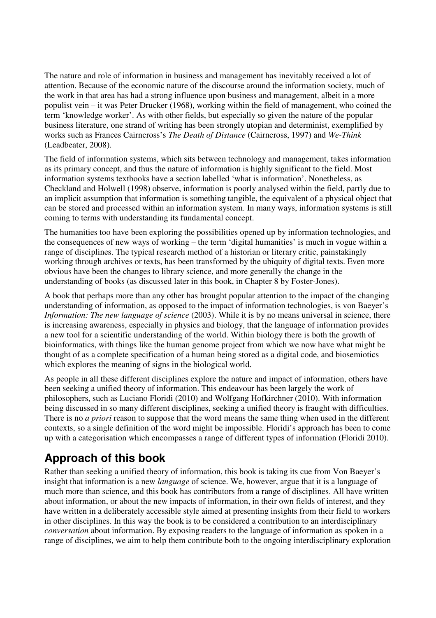The nature and role of information in business and management has inevitably received a lot of attention. Because of the economic nature of the discourse around the information society, much of the work in that area has had a strong influence upon business and management, albeit in a more populist vein – it was Peter Drucker (1968), working within the field of management, who coined the term 'knowledge worker'. As with other fields, but especially so given the nature of the popular business literature, one strand of writing has been strongly utopian and determinist, exemplified by works such as Frances Cairncross's *The Death of Distance* (Cairncross, 1997) and *We-Think* (Leadbeater, 2008).

The field of information systems, which sits between technology and management, takes information as its primary concept, and thus the nature of information is highly significant to the field. Most information systems textbooks have a section labelled 'what is information'. Nonetheless, as Checkland and Holwell (1998) observe, information is poorly analysed within the field, partly due to an implicit assumption that information is something tangible, the equivalent of a physical object that can be stored and processed within an information system. In many ways, information systems is still coming to terms with understanding its fundamental concept.

The humanities too have been exploring the possibilities opened up by information technologies, and the consequences of new ways of working – the term 'digital humanities' is much in vogue within a range of disciplines. The typical research method of a historian or literary critic, painstakingly working through archives or texts, has been transformed by the ubiquity of digital texts. Even more obvious have been the changes to library science, and more generally the change in the understanding of books (as discussed later in this book, in Chapter 8 by Foster-Jones).

A book that perhaps more than any other has brought popular attention to the impact of the changing understanding of information, as opposed to the impact of information technologies, is von Baeyer's *Information: The new language of science* (2003). While it is by no means universal in science, there is increasing awareness, especially in physics and biology, that the language of information provides a new tool for a scientific understanding of the world. Within biology there is both the growth of bioinformatics, with things like the human genome project from which we now have what might be thought of as a complete specification of a human being stored as a digital code, and biosemiotics which explores the meaning of signs in the biological world.

As people in all these different disciplines explore the nature and impact of information, others have been seeking a unified theory of information. This endeavour has been largely the work of philosophers, such as Luciano Floridi (2010) and Wolfgang Hofkirchner (2010). With information being discussed in so many different disciplines, seeking a unified theory is fraught with difficulties. There is no *a priori* reason to suppose that the word means the same thing when used in the different contexts, so a single definition of the word might be impossible. Floridi's approach has been to come up with a categorisation which encompasses a range of different types of information (Floridi 2010).

## **Approach of this book**

Rather than seeking a unified theory of information, this book is taking its cue from Von Baeyer's insight that information is a new *language* of science. We, however, argue that it is a language of much more than science, and this book has contributors from a range of disciplines. All have written about information, or about the new impacts of information, in their own fields of interest, and they have written in a deliberately accessible style aimed at presenting insights from their field to workers in other disciplines. In this way the book is to be considered a contribution to an interdisciplinary *conversation* about information. By exposing readers to the language of information as spoken in a range of disciplines, we aim to help them contribute both to the ongoing interdisciplinary exploration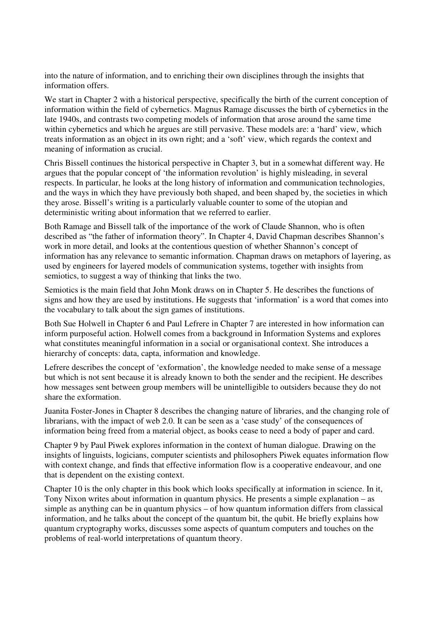into the nature of information, and to enriching their own disciplines through the insights that information offers.

We start in Chapter 2 with a historical perspective, specifically the birth of the current conception of information within the field of cybernetics. Magnus Ramage discusses the birth of cybernetics in the late 1940s, and contrasts two competing models of information that arose around the same time within cybernetics and which he argues are still pervasive. These models are: a 'hard' view, which treats information as an object in its own right; and a 'soft' view, which regards the context and meaning of information as crucial.

Chris Bissell continues the historical perspective in Chapter 3, but in a somewhat different way. He argues that the popular concept of 'the information revolution' is highly misleading, in several respects. In particular, he looks at the long history of information and communication technologies, and the ways in which they have previously both shaped, and been shaped by, the societies in which they arose. Bissell's writing is a particularly valuable counter to some of the utopian and deterministic writing about information that we referred to earlier.

Both Ramage and Bissell talk of the importance of the work of Claude Shannon, who is often described as "the father of information theory". In Chapter 4, David Chapman describes Shannon's work in more detail, and looks at the contentious question of whether Shannon's concept of information has any relevance to semantic information. Chapman draws on metaphors of layering, as used by engineers for layered models of communication systems, together with insights from semiotics, to suggest a way of thinking that links the two.

Semiotics is the main field that John Monk draws on in Chapter 5. He describes the functions of signs and how they are used by institutions. He suggests that 'information' is a word that comes into the vocabulary to talk about the sign games of institutions.

Both Sue Holwell in Chapter 6 and Paul Lefrere in Chapter 7 are interested in how information can inform purposeful action. Holwell comes from a background in Information Systems and explores what constitutes meaningful information in a social or organisational context. She introduces a hierarchy of concepts: data, capta, information and knowledge.

Lefrere describes the concept of 'exformation', the knowledge needed to make sense of a message but which is not sent because it is already known to both the sender and the recipient. He describes how messages sent between group members will be unintelligible to outsiders because they do not share the exformation.

Juanita Foster-Jones in Chapter 8 describes the changing nature of libraries, and the changing role of librarians, with the impact of web 2.0. It can be seen as a 'case study' of the consequences of information being freed from a material object, as books cease to need a body of paper and card.

Chapter 9 by Paul Piwek explores information in the context of human dialogue. Drawing on the insights of linguists, logicians, computer scientists and philosophers Piwek equates information flow with context change, and finds that effective information flow is a cooperative endeavour, and one that is dependent on the existing context.

Chapter 10 is the only chapter in this book which looks specifically at information in science. In it, Tony Nixon writes about information in quantum physics. He presents a simple explanation – as simple as anything can be in quantum physics – of how quantum information differs from classical information, and he talks about the concept of the quantum bit, the qubit. He briefly explains how quantum cryptography works, discusses some aspects of quantum computers and touches on the problems of real-world interpretations of quantum theory.